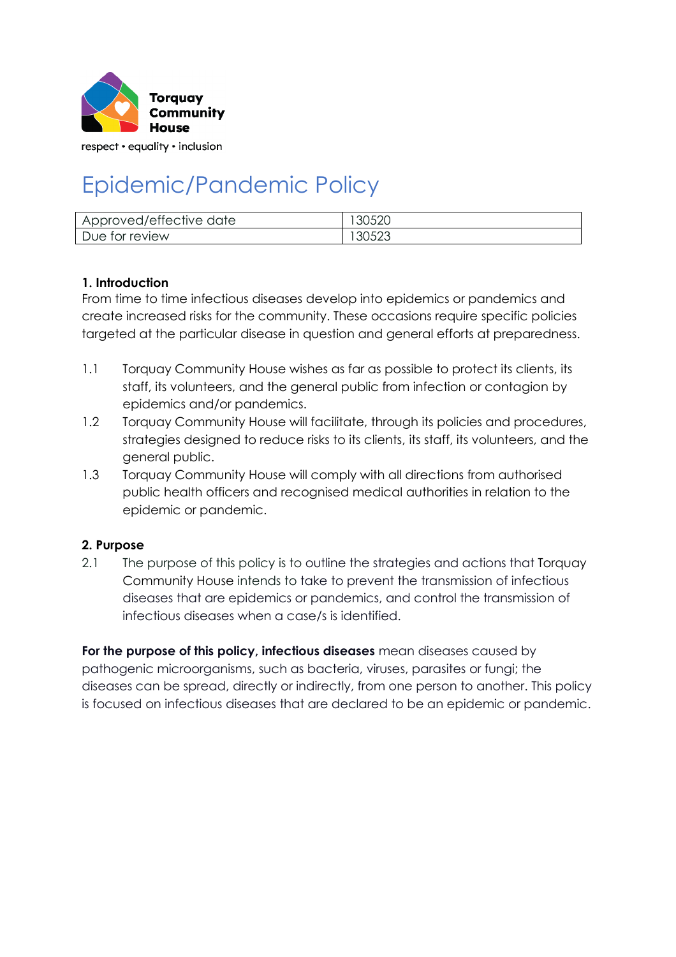

respect • equality • inclusion

# Epidemic/Pandemic Policy

| Approved/effective date | 30520 |
|-------------------------|-------|
| Due for review          | 30523 |

#### **1. Introduction**

From time to time infectious diseases develop into epidemics or pandemics and create increased risks for the community. These occasions require specific policies targeted at the particular disease in question and general efforts at preparedness.

- 1.1 Torquay Community House wishes as far as possible to protect its clients, its staff, its volunteers, and the general public from infection or contagion by epidemics and/or pandemics.
- 1.2 Torquay Community House will facilitate, through its policies and procedures, strategies designed to reduce risks to its clients, its staff, its volunteers, and the general public.
- 1.3 Torquay Community House will comply with all directions from authorised public health officers and recognised medical authorities in relation to the epidemic or pandemic.

#### **2. Purpose**

2.1 The purpose of this policy is to outline the strategies and actions that Torquay Community House intends to take to prevent the transmission of infectious diseases that are epidemics or pandemics, and control the transmission of infectious diseases when a case/s is identified.

**For the purpose of this policy, infectious diseases** mean diseases caused by pathogenic microorganisms, such as bacteria, viruses, parasites or fungi; the diseases can be spread, directly or indirectly, from one person to another. This policy is focused on infectious diseases that are declared to be an epidemic or pandemic.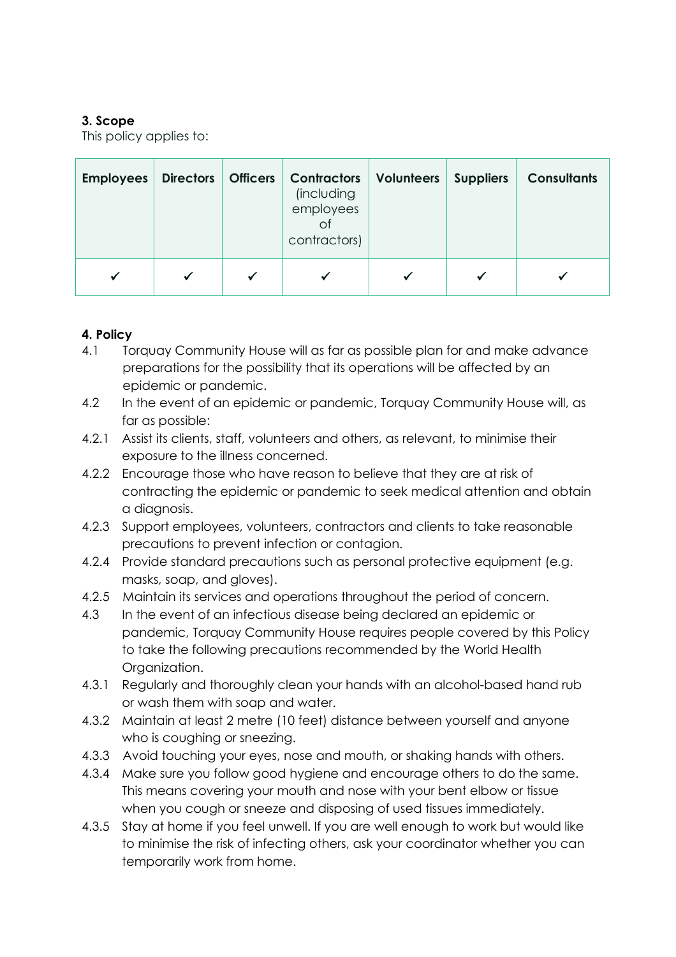## **3. Scope**

This policy applies to:

| <b>Employees</b> | <b>Directors</b> | <b>Officers</b> | <b>Contractors</b><br>(including<br>employees<br>Οf<br>contractors) | Volunteers | <b>Suppliers</b> | <b>Consultants</b> |
|------------------|------------------|-----------------|---------------------------------------------------------------------|------------|------------------|--------------------|
|                  |                  | $\checkmark$    |                                                                     |            |                  |                    |

## **4. Policy**

- 4.1 Torquay Community House will as far as possible plan for and make advance preparations for the possibility that its operations will be affected by an epidemic or pandemic.
- 4.2 In the event of an epidemic or pandemic, Torquay Community House will, as far as possible:
- 4.2.1 Assist its clients, staff, volunteers and others, as relevant, to minimise their exposure to the illness concerned.
- 4.2.2 Encourage those who have reason to believe that they are at risk of contracting the epidemic or pandemic to seek medical attention and obtain a diagnosis.
- 4.2.3 Support employees, volunteers, contractors and clients to take reasonable precautions to prevent infection or contagion.
- 4.2.4 Provide standard precautions such as personal protective equipment (e.g. masks, soap, and gloves).
- 4.2.5 Maintain its services and operations throughout the period of concern.
- 4.3 In the event of an infectious disease being declared an epidemic or pandemic, Torquay Community House requires people covered by this Policy to take the following precautions recommended by the World Health Organization.
- 4.3.1 Regularly and thoroughly clean your hands with an alcohol-based hand rub or wash them with soap and water.
- 4.3.2 Maintain at least 2 metre (10 feet) distance between yourself and anyone who is coughing or sneezing.
- 4.3.3 Avoid touching your eyes, nose and mouth, or shaking hands with others.
- 4.3.4 Make sure you follow good hygiene and encourage others to do the same. This means covering your mouth and nose with your bent elbow or tissue when you cough or sneeze and disposing of used tissues immediately.
- 4.3.5 Stay at home if you feel unwell. If you are well enough to work but would like to minimise the risk of infecting others, ask your coordinator whether you can temporarily work from home.